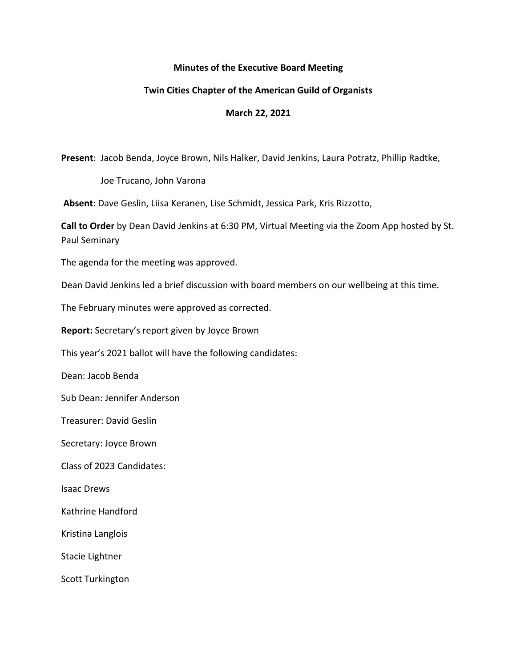## **Minutes of the Executive Board Meeting**

## **Twin Cities Chapter of the American Guild of Organists**

## **March 22, 2021**

**Present**: Jacob Benda, Joyce Brown, Nils Halker, David Jenkins, Laura Potratz, Phillip Radtke,

Joe Trucano, John Varona

**Absent**: Dave Geslin, Liisa Keranen, Lise Schmidt, Jessica Park, Kris Rizzotto,

**Call to Order** by Dean David Jenkins at 6:30 PM, Virtual Meeting via the Zoom App hosted by St. Paul Seminary

The agenda for the meeting was approved.

Dean David Jenkins led a brief discussion with board members on our wellbeing at this time.

The February minutes were approved as corrected.

**Report:** Secretary's report given by Joyce Brown

This year's 2021 ballot will have the following candidates:

Dean: Jacob Benda

Sub Dean: Jennifer Anderson

Treasurer: David Geslin

Secretary: Joyce Brown

Class of 2023 Candidates:

Isaac Drews

Kathrine Handford

Kristina Langlois

Stacie Lightner

Scott Turkington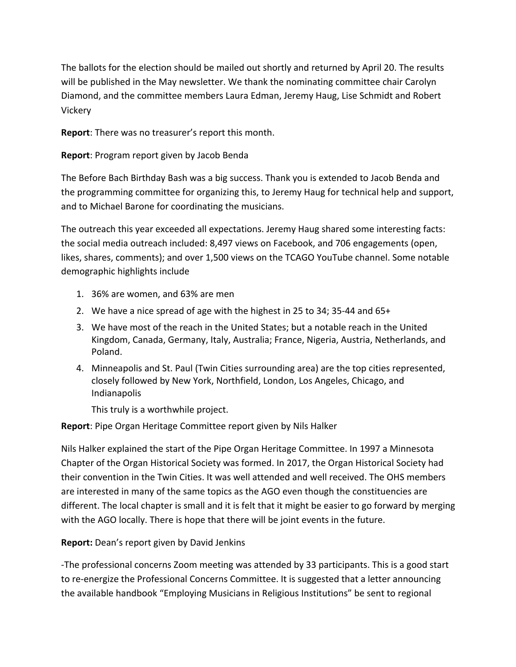The ballots for the election should be mailed out shortly and returned by April 20. The results will be published in the May newsletter. We thank the nominating committee chair Carolyn Diamond, and the committee members Laura Edman, Jeremy Haug, Lise Schmidt and Robert Vickery

**Report**: There was no treasurer's report this month.

**Report**: Program report given by Jacob Benda

The Before Bach Birthday Bash was a big success. Thank you is extended to Jacob Benda and the programming committee for organizing this, to Jeremy Haug for technical help and support, and to Michael Barone for coordinating the musicians.

The outreach this year exceeded all expectations. Jeremy Haug shared some interesting facts: the social media outreach included: 8,497 views on Facebook, and 706 engagements (open, likes, shares, comments); and over 1,500 views on the TCAGO YouTube channel. Some notable demographic highlights include

- 1. 36% are women, and 63% are men
- 2. We have a nice spread of age with the highest in 25 to 34; 35-44 and 65+
- 3. We have most of the reach in the United States; but a notable reach in the United Kingdom, Canada, Germany, Italy, Australia; France, Nigeria, Austria, Netherlands, and Poland.
- 4. Minneapolis and St. Paul (Twin Cities surrounding area) are the top cities represented, closely followed by New York, Northfield, London, Los Angeles, Chicago, and Indianapolis

This truly is a worthwhile project.

**Report**: Pipe Organ Heritage Committee report given by Nils Halker

Nils Halker explained the start of the Pipe Organ Heritage Committee. In 1997 a Minnesota Chapter of the Organ Historical Society was formed. In 2017, the Organ Historical Society had their convention in the Twin Cities. It was well attended and well received. The OHS members are interested in many of the same topics as the AGO even though the constituencies are different. The local chapter is small and it is felt that it might be easier to go forward by merging with the AGO locally. There is hope that there will be joint events in the future.

**Report:** Dean's report given by David Jenkins

-The professional concerns Zoom meeting was attended by 33 participants. This is a good start to re-energize the Professional Concerns Committee. It is suggested that a letter announcing the available handbook "Employing Musicians in Religious Institutions" be sent to regional